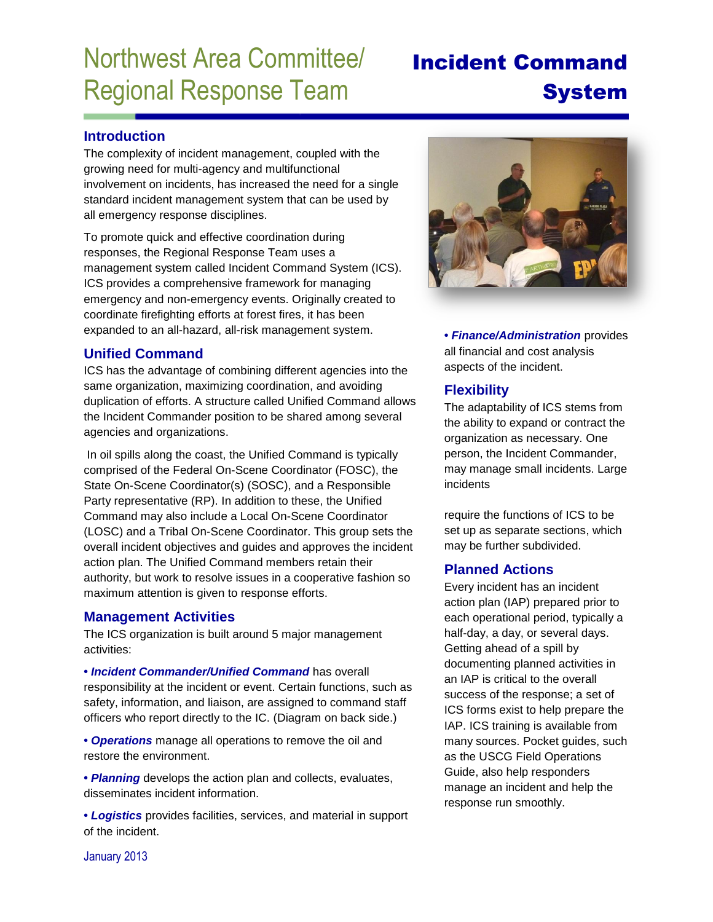# Northwest Area Committee/ Regional Response Team

## Incident Command System

#### **Introduction**

The complexity of incident management, coupled with the growing need for multi-agency and multifunctional involvement on incidents, has increased the need for a single standard incident management system that can be used by all emergency response disciplines.

To promote quick and effective coordination during responses, the Regional Response Team uses a management system called Incident Command System (ICS). ICS provides a comprehensive framework for managing emergency and non-emergency events. Originally created to coordinate firefighting efforts at forest fires, it has been expanded to an all-hazard, all-risk management system.

#### **Unified Command**

ICS has the advantage of combining different agencies into the same organization, maximizing coordination, and avoiding duplication of efforts. A structure called Unified Command allows the Incident Commander position to be shared among several agencies and organizations.

In oil spills along the coast, the Unified Command is typically comprised of the Federal On-Scene Coordinator (FOSC), the State On-Scene Coordinator(s) (SOSC), and a Responsible Party representative (RP). In addition to these, the Unified Command may also include a Local On-Scene Coordinator (LOSC) and a Tribal On-Scene Coordinator. This group sets the overall incident objectives and guides and approves the incident action plan. The Unified Command members retain their authority, but work to resolve issues in a cooperative fashion so maximum attention is given to response efforts.

#### **Management Activities**

The ICS organization is built around 5 major management activities:

**•** *Incident Commander/Unified Command* has overall responsibility at the incident or event. Certain functions, such as safety, information, and liaison, are assigned to command staff officers who report directly to the IC. (Diagram on back side.)

**•** *Operations* manage all operations to remove the oil and restore the environment.

**•** *Planning* develops the action plan and collects, evaluates, disseminates incident information.

**•** *Logistics* provides facilities, services, and material in support of the incident.



**•** *Finance/Administration* provides all financial and cost analysis aspects of the incident.

#### **Flexibility**

The adaptability of ICS stems from the ability to expand or contract the organization as necessary. One person, the Incident Commander, may manage small incidents. Large incidents

require the functions of ICS to be set up as separate sections, which may be further subdivided.

#### **Planned Actions**

Every incident has an incident action plan (IAP) prepared prior to each operational period, typically a half-day, a day, or several days. Getting ahead of a spill by documenting planned activities in an IAP is critical to the overall success of the response; a set of ICS forms exist to help prepare the IAP. ICS training is available from many sources. Pocket guides, such as the USCG Field Operations Guide, also help responders manage an incident and help the response run smoothly.

January 2013